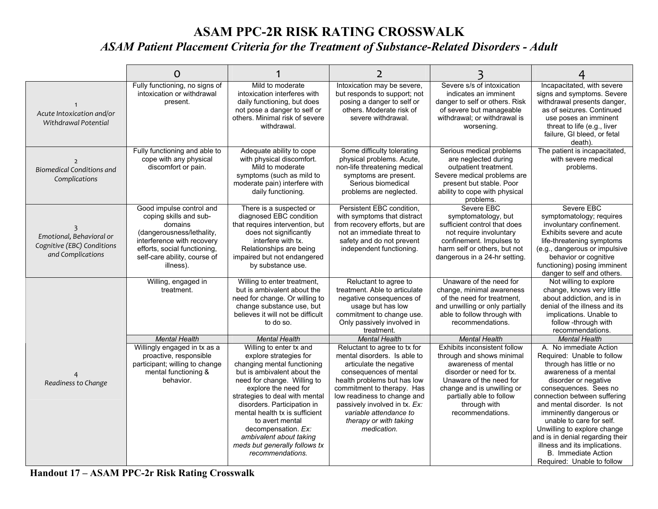## **ASAM PPC-2R RISK RATING CROSSWALK**  *ASAM Patient Placement Criteria for the Treatment of Substance-Related Disorders - Adult*

|                                                                             | O                                                                                                                                                                                                     |                                                                                                                                                                                                                                                                                                                                                                                                     | 2                                                                                                                                                                                                                                                                                                                 |                                                                                                                                                                                                                                       |                                                                                                                                                                                                                                                                                                                                                                                                                                                  |
|-----------------------------------------------------------------------------|-------------------------------------------------------------------------------------------------------------------------------------------------------------------------------------------------------|-----------------------------------------------------------------------------------------------------------------------------------------------------------------------------------------------------------------------------------------------------------------------------------------------------------------------------------------------------------------------------------------------------|-------------------------------------------------------------------------------------------------------------------------------------------------------------------------------------------------------------------------------------------------------------------------------------------------------------------|---------------------------------------------------------------------------------------------------------------------------------------------------------------------------------------------------------------------------------------|--------------------------------------------------------------------------------------------------------------------------------------------------------------------------------------------------------------------------------------------------------------------------------------------------------------------------------------------------------------------------------------------------------------------------------------------------|
| Acute Intoxication and/or<br>Withdrawal Potential                           | Fully functioning, no signs of<br>intoxication or withdrawal<br>present.                                                                                                                              | Mild to moderate<br>intoxication interferes with<br>daily functioning, but does<br>not pose a danger to self or<br>others. Minimal risk of severe<br>withdrawal.                                                                                                                                                                                                                                    | Intoxication may be severe,<br>but responds to support; not<br>posing a danger to self or<br>others. Moderate risk of<br>severe withdrawal.                                                                                                                                                                       | Severe s/s of intoxication<br>indicates an imminent<br>danger to self or others. Risk<br>of severe but manageable<br>withdrawal; or withdrawal is<br>worsening.                                                                       | Incapacitated, with severe<br>signs and symptoms. Severe<br>withdrawal presents danger,<br>as of seizures. Continued<br>use poses an imminent<br>threat to life (e.g., liver<br>failure, GI bleed, or fetal<br>death).                                                                                                                                                                                                                           |
| $\overline{2}$<br><b>Biomedical Conditions and</b><br>Complications         | Fully functioning and able to<br>cope with any physical<br>discomfort or pain.                                                                                                                        | Adequate ability to cope<br>with physical discomfort.<br>Mild to moderate<br>symptoms (such as mild to<br>moderate pain) interfere with<br>daily functioning.                                                                                                                                                                                                                                       | Some difficulty tolerating<br>physical problems. Acute,<br>non-life threatening medical<br>symptoms are present.<br>Serious biomedical<br>problems are neglected.                                                                                                                                                 | Serious medical problems<br>are neglected during<br>outpatient treatment.<br>Severe medical problems are<br>present but stable. Poor<br>ability to cope with physical<br>problems.                                                    | The patient is incapacitated,<br>with severe medical<br>problems.                                                                                                                                                                                                                                                                                                                                                                                |
| Emotional, Behavioral or<br>Cognitive (EBC) Conditions<br>and Complications | Good impulse control and<br>coping skills and sub-<br>domains<br>(dangerousness/lethality,<br>interference with recovery<br>efforts, social functioning,<br>self-care ability, course of<br>illness). | There is a suspected or<br>diagnosed EBC condition<br>that requires intervention, but<br>does not significantly<br>interfere with tx.<br>Relationships are being<br>impaired but not endangered<br>by substance use.                                                                                                                                                                                | Persistent EBC condition,<br>with symptoms that distract<br>from recovery efforts, but are<br>not an immediate threat to<br>safety and do not prevent<br>independent functioning.                                                                                                                                 | Severe EBC<br>symptomatology, but<br>sufficient control that does<br>not require involuntary<br>confinement. Impulses to<br>harm self or others, but not<br>dangerous in a 24-hr setting.                                             | Severe EBC<br>symptomatology; requires<br>involuntary confinement.<br>Exhibits severe and acute<br>life-threatening symptoms<br>(e.g., dangerous or impulsive<br>behavior or cognitive<br>functioning) posing imminent<br>danger to self and others.                                                                                                                                                                                             |
|                                                                             | Willing, engaged in<br>treatment.                                                                                                                                                                     | Willing to enter treatment,<br>but is ambivalent about the<br>need for change. Or willing to<br>change substance use, but<br>believes it will not be difficult<br>to do so.                                                                                                                                                                                                                         | Reluctant to agree to<br>treatment. Able to articulate<br>negative consequences of<br>usage but has low<br>commitment to change use.<br>Only passively involved in<br>treatment.                                                                                                                                  | Unaware of the need for<br>change, minimal awareness<br>of the need for treatment.<br>and unwilling or only partially<br>able to follow through with<br>recommendations.                                                              | Not willing to explore<br>change, knows very little<br>about addiction, and is in<br>denial of the illness and its<br>implications. Unable to<br>follow -through with<br>recommendations.                                                                                                                                                                                                                                                        |
|                                                                             | <b>Mental Health</b>                                                                                                                                                                                  | <b>Mental Health</b>                                                                                                                                                                                                                                                                                                                                                                                | <b>Mental Health</b>                                                                                                                                                                                                                                                                                              | <b>Mental Health</b>                                                                                                                                                                                                                  | <b>Mental Health</b>                                                                                                                                                                                                                                                                                                                                                                                                                             |
| Readiness to Change                                                         | Willingly engaged in tx as a<br>proactive, responsible<br>participant; willing to change<br>mental functioning &<br>behavior.                                                                         | Willing to enter tx and<br>explore strategies for<br>changing mental functioning<br>but is ambivalent about the<br>need for change. Willing to<br>explore the need for<br>strategies to deal with mental<br>disorders. Participation in<br>mental health tx is sufficient<br>to avert mental<br>decompensation. Ex:<br>ambivalent about taking<br>meds but generally follows tx<br>recommendations. | Reluctant to agree to tx for<br>mental disorders. Is able to<br>articulate the negative<br>consequences of mental<br>health problems but has low<br>commitment to therapy. Has<br>low readiness to change and<br>passively involved in tx. Ex:<br>variable attendance to<br>therapy or with taking<br>medication. | Exhibits inconsistent follow<br>through and shows minimal<br>awareness of mental<br>disorder or need for tx.<br>Unaware of the need for<br>change and is unwilling or<br>partially able to follow<br>through with<br>recommendations. | A. No immediate Action<br>Required: Unable to follow<br>through has little or no<br>awareness of a mental<br>disorder or negative<br>consequences. Sees no<br>connection between suffering<br>and mental disorder. Is not<br>imminently dangerous or<br>unable to care for self.<br>Unwilling to explore change<br>and is in denial regarding their<br>illness and its implications.<br><b>B.</b> Immediate Action<br>Required: Unable to follow |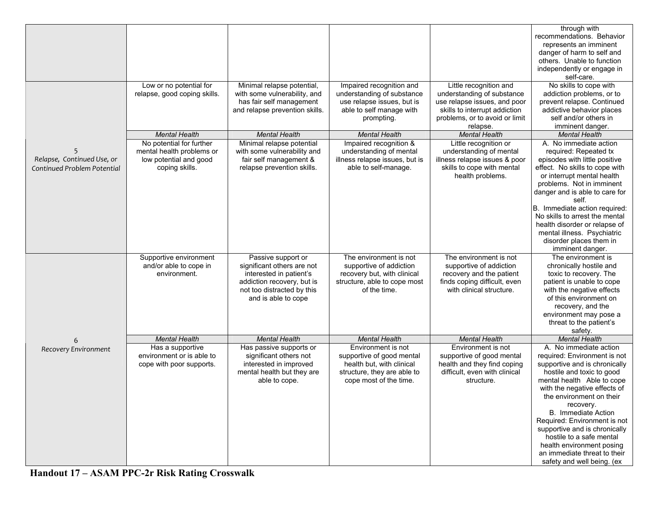|                                                           |                                                                                                   |                                                                                                                                                                |                                                                                                                                       |                                                                                                                                                                     | through with<br>recommendations. Behavior<br>represents an imminent<br>danger of harm to self and<br>others. Unable to function<br>independently or engage in<br>self-care.                                                                                                                                                                                                                                                                |
|-----------------------------------------------------------|---------------------------------------------------------------------------------------------------|----------------------------------------------------------------------------------------------------------------------------------------------------------------|---------------------------------------------------------------------------------------------------------------------------------------|---------------------------------------------------------------------------------------------------------------------------------------------------------------------|--------------------------------------------------------------------------------------------------------------------------------------------------------------------------------------------------------------------------------------------------------------------------------------------------------------------------------------------------------------------------------------------------------------------------------------------|
|                                                           | Low or no potential for<br>relapse, good coping skills.                                           | Minimal relapse potential,<br>with some vulnerability, and<br>has fair self management<br>and relapse prevention skills.                                       | Impaired recognition and<br>understanding of substance<br>use relapse issues, but is<br>able to self manage with<br>prompting.        | Little recognition and<br>understanding of substance<br>use relapse issues, and poor<br>skills to interrupt addiction<br>problems, or to avoid or limit<br>relapse. | No skills to cope with<br>addiction problems, or to<br>prevent relapse. Continued<br>addictive behavior places<br>self and/or others in<br>imminent danger.                                                                                                                                                                                                                                                                                |
|                                                           | <b>Mental Health</b>                                                                              | <b>Mental Health</b>                                                                                                                                           | <b>Mental Health</b>                                                                                                                  | <b>Mental Health</b>                                                                                                                                                | <b>Mental Health</b>                                                                                                                                                                                                                                                                                                                                                                                                                       |
| Relapse, Continued Use, or<br>Continued Problem Potential | No potential for further<br>mental health problems or<br>low potential and good<br>coping skills. | Minimal relapse potential<br>with some vulnerability and<br>fair self management &<br>relapse prevention skills.                                               | Impaired recognition &<br>understanding of mental<br>illness relapse issues, but is<br>able to self-manage.                           | Little recognition or<br>understanding of mental<br>illness relapse issues & poor<br>skills to cope with mental<br>health problems.                                 | A. No immediate action<br>required: Repeated tx<br>episodes with little positive<br>effect. No skills to cope with<br>or interrupt mental health<br>problems. Not in imminent<br>danger and is able to care for<br>self.<br>B. Immediate action required:<br>No skills to arrest the mental<br>health disorder or relapse of<br>mental illness. Psychiatric<br>disorder places them in<br>imminent danger.                                 |
|                                                           | Supportive environment<br>and/or able to cope in<br>environment.                                  | Passive support or<br>significant others are not<br>interested in patient's<br>addiction recovery, but is<br>not too distracted by this<br>and is able to cope | The environment is not<br>supportive of addiction<br>recovery but, with clinical<br>structure, able to cope most<br>of the time.      | The environment is not<br>supportive of addiction<br>recovery and the patient<br>finds coping difficult, even<br>with clinical structure.                           | The environment is<br>chronically hostile and<br>toxic to recovery. The<br>patient is unable to cope<br>with the negative effects<br>of this environment on<br>recovery, and the<br>environment may pose a<br>threat to the patient's<br>safety.                                                                                                                                                                                           |
| 6                                                         | <b>Mental Health</b>                                                                              | <b>Mental Health</b>                                                                                                                                           | <b>Mental Health</b>                                                                                                                  | <b>Mental Health</b>                                                                                                                                                | <b>Mental Health</b>                                                                                                                                                                                                                                                                                                                                                                                                                       |
| Recovery Environment                                      | Has a supportive<br>environment or is able to<br>cope with poor supports.                         | Has passive supports or<br>significant others not<br>interested in improved<br>mental health but they are<br>able to cope.                                     | Environment is not<br>supportive of good mental<br>health but, with clinical<br>structure, they are able to<br>cope most of the time. | Environment is not<br>supportive of good mental<br>health and they find coping<br>difficult, even with clinical<br>structure.                                       | A. No immediate action<br>required: Environment is not<br>supportive and is chronically<br>hostile and toxic to good<br>mental health Able to cope<br>with the negative effects of<br>the environment on their<br>recovery.<br>B. Immediate Action<br>Required: Environment is not<br>supportive and is chronically<br>hostile to a safe mental<br>health environment posing<br>an immediate threat to their<br>safety and well being. (ex |